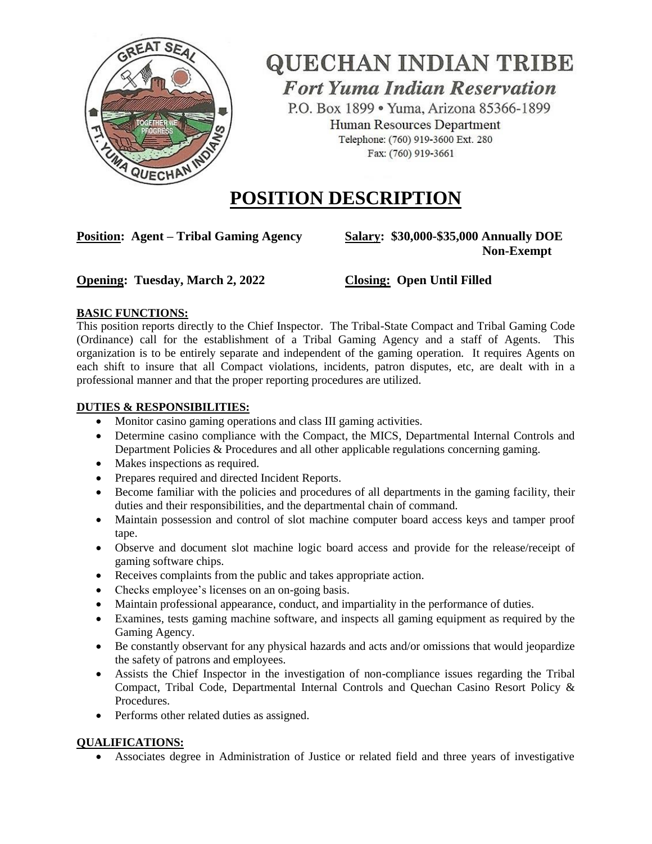

## **QUECHAN INDIAN TRIBE Fort Yuma Indian Reservation**

P.O. Box 1899 · Yuma, Arizona 85366-1899 Human Resources Department Telephone: (760) 919-3600 Ext. 280 Fax: (760) 919-3661

## **POSITION DESCRIPTION**

**Position: Agent – Tribal Gaming Agency Salary: \$30,000-\$35,000 Annually DOE**

# **Non-Exempt**

### **Opening: Tuesday, March 2, 2022 Closing: Open Until Filled**

### **BASIC FUNCTIONS:**

This position reports directly to the Chief Inspector. The Tribal-State Compact and Tribal Gaming Code (Ordinance) call for the establishment of a Tribal Gaming Agency and a staff of Agents. This organization is to be entirely separate and independent of the gaming operation. It requires Agents on each shift to insure that all Compact violations, incidents, patron disputes, etc, are dealt with in a professional manner and that the proper reporting procedures are utilized.

### **DUTIES & RESPONSIBILITIES:**

- Monitor casino gaming operations and class III gaming activities.
- Determine casino compliance with the Compact, the MICS, Departmental Internal Controls and Department Policies & Procedures and all other applicable regulations concerning gaming.
- Makes inspections as required.
- Prepares required and directed Incident Reports.
- Become familiar with the policies and procedures of all departments in the gaming facility, their duties and their responsibilities, and the departmental chain of command.
- Maintain possession and control of slot machine computer board access keys and tamper proof tape.
- Observe and document slot machine logic board access and provide for the release/receipt of gaming software chips.
- Receives complaints from the public and takes appropriate action.
- Checks employee's licenses on an on-going basis.
- Maintain professional appearance, conduct, and impartiality in the performance of duties.
- Examines, tests gaming machine software, and inspects all gaming equipment as required by the Gaming Agency.
- Be constantly observant for any physical hazards and acts and/or omissions that would jeopardize the safety of patrons and employees.
- Assists the Chief Inspector in the investigation of non-compliance issues regarding the Tribal Compact, Tribal Code, Departmental Internal Controls and Quechan Casino Resort Policy & Procedures.
- Performs other related duties as assigned.

#### **QUALIFICATIONS:**

Associates degree in Administration of Justice or related field and three years of investigative